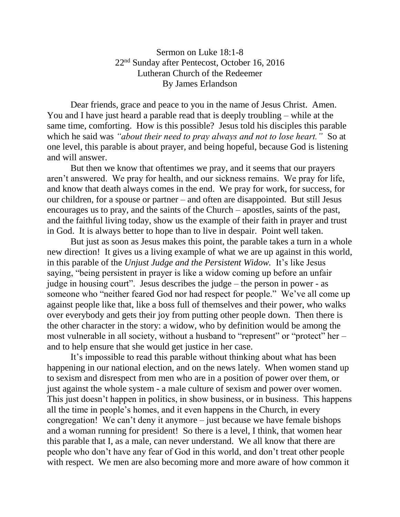Sermon on Luke 18:1-8 22nd Sunday after Pentecost, October 16, 2016 Lutheran Church of the Redeemer By James Erlandson

Dear friends, grace and peace to you in the name of Jesus Christ. Amen. You and I have just heard a parable read that is deeply troubling – while at the same time, comforting. How is this possible? Jesus told his disciples this parable which he said was *"about their need to pray always and not to lose heart."* So at one level, this parable is about prayer, and being hopeful, because God is listening and will answer.

But then we know that oftentimes we pray, and it seems that our prayers aren't answered. We pray for health, and our sickness remains. We pray for life, and know that death always comes in the end. We pray for work, for success, for our children, for a spouse or partner – and often are disappointed. But still Jesus encourages us to pray, and the saints of the Church – apostles, saints of the past, and the faithful living today, show us the example of their faith in prayer and trust in God. It is always better to hope than to live in despair. Point well taken.

But just as soon as Jesus makes this point, the parable takes a turn in a whole new direction! It gives us a living example of what we are up against in this world, in this parable of the *Unjust Judge and the Persistent Widow.* It's like Jesus saying, "being persistent in prayer is like a widow coming up before an unfair judge in housing court". Jesus describes the judge – the person in power - as someone who "neither feared God nor had respect for people." We've all come up against people like that, like a boss full of themselves and their power, who walks over everybody and gets their joy from putting other people down. Then there is the other character in the story: a widow, who by definition would be among the most vulnerable in all society, without a husband to "represent" or "protect" her – and to help ensure that she would get justice in her case.

It's impossible to read this parable without thinking about what has been happening in our national election, and on the news lately. When women stand up to sexism and disrespect from men who are in a position of power over them, or just against the whole system - a male culture of sexism and power over women. This just doesn't happen in politics, in show business, or in business. This happens all the time in people's homes, and it even happens in the Church, in every congregation! We can't deny it anymore – just because we have female bishops and a woman running for president! So there is a level, I think, that women hear this parable that I, as a male, can never understand. We all know that there are people who don't have any fear of God in this world, and don't treat other people with respect. We men are also becoming more and more aware of how common it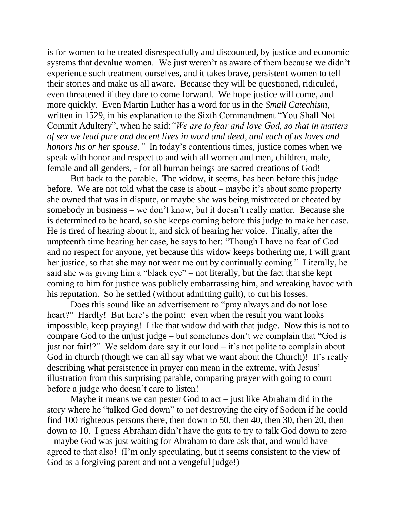is for women to be treated disrespectfully and discounted, by justice and economic systems that devalue women. We just weren't as aware of them because we didn't experience such treatment ourselves, and it takes brave, persistent women to tell their stories and make us all aware. Because they will be questioned, ridiculed, even threatened if they dare to come forward. We hope justice will come, and more quickly. Even Martin Luther has a word for us in the *Small Catechism,* written in 1529, in his explanation to the Sixth Commandment "You Shall Not Commit Adultery", when he said:*"We are to fear and love God, so that in matters of sex we lead pure and decent lives in word and deed, and each of us loves and honors his or her spouse."* In today's contentious times, justice comes when we speak with honor and respect to and with all women and men, children, male, female and all genders, - for all human beings are sacred creations of God!

But back to the parable. The widow, it seems, has been before this judge before. We are not told what the case is about – maybe it's about some property she owned that was in dispute, or maybe she was being mistreated or cheated by somebody in business – we don't know, but it doesn't really matter. Because she is determined to be heard, so she keeps coming before this judge to make her case. He is tired of hearing about it, and sick of hearing her voice. Finally, after the umpteenth time hearing her case, he says to her: "Though I have no fear of God and no respect for anyone, yet because this widow keeps bothering me, I will grant her justice, so that she may not wear me out by continually coming." Literally, he said she was giving him a "black eye" – not literally, but the fact that she kept coming to him for justice was publicly embarrassing him, and wreaking havoc with his reputation. So he settled (without admitting guilt), to cut his losses.

Does this sound like an advertisement to "pray always and do not lose heart?" Hardly! But here's the point: even when the result you want looks impossible, keep praying! Like that widow did with that judge. Now this is not to compare God to the unjust judge – but sometimes don't we complain that "God is just not fair!?" We seldom dare say it out loud – it's not polite to complain about God in church (though we can all say what we want about the Church)! It's really describing what persistence in prayer can mean in the extreme, with Jesus' illustration from this surprising parable, comparing prayer with going to court before a judge who doesn't care to listen!

Maybe it means we can pester God to act – just like Abraham did in the story where he "talked God down" to not destroying the city of Sodom if he could find 100 righteous persons there, then down to 50, then 40, then 30, then 20, then down to 10. I guess Abraham didn't have the guts to try to talk God down to zero – maybe God was just waiting for Abraham to dare ask that, and would have agreed to that also! (I'm only speculating, but it seems consistent to the view of God as a forgiving parent and not a vengeful judge!)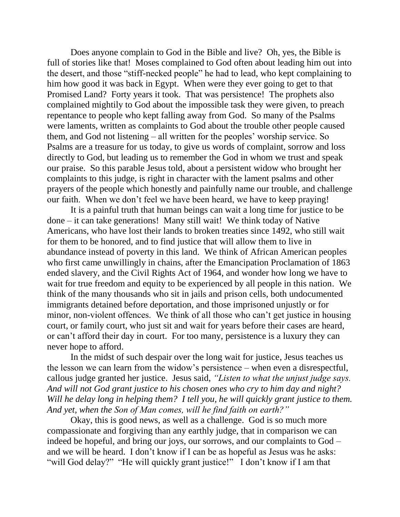Does anyone complain to God in the Bible and live? Oh, yes, the Bible is full of stories like that! Moses complained to God often about leading him out into the desert, and those "stiff-necked people" he had to lead, who kept complaining to him how good it was back in Egypt. When were they ever going to get to that Promised Land? Forty years it took. That was persistence! The prophets also complained mightily to God about the impossible task they were given, to preach repentance to people who kept falling away from God. So many of the Psalms were laments, written as complaints to God about the trouble other people caused them, and God not listening – all written for the peoples' worship service. So Psalms are a treasure for us today, to give us words of complaint, sorrow and loss directly to God, but leading us to remember the God in whom we trust and speak our praise. So this parable Jesus told, about a persistent widow who brought her complaints to this judge, is right in character with the lament psalms and other prayers of the people which honestly and painfully name our trouble, and challenge our faith. When we don't feel we have been heard, we have to keep praying!

It is a painful truth that human beings can wait a long time for justice to be done – it can take generations! Many still wait! We think today of Native Americans, who have lost their lands to broken treaties since 1492, who still wait for them to be honored, and to find justice that will allow them to live in abundance instead of poverty in this land. We think of African American peoples who first came unwillingly in chains, after the Emancipation Proclamation of 1863 ended slavery, and the Civil Rights Act of 1964, and wonder how long we have to wait for true freedom and equity to be experienced by all people in this nation. We think of the many thousands who sit in jails and prison cells, both undocumented immigrants detained before deportation, and those imprisoned unjustly or for minor, non-violent offences. We think of all those who can't get justice in housing court, or family court, who just sit and wait for years before their cases are heard, or can't afford their day in court. For too many, persistence is a luxury they can never hope to afford.

In the midst of such despair over the long wait for justice, Jesus teaches us the lesson we can learn from the widow's persistence – when even a disrespectful, callous judge granted her justice. Jesus said, *"Listen to what the unjust judge says. And will not God grant justice to his chosen ones who cry to him day and night? Will he delay long in helping them? I tell you, he will quickly grant justice to them. And yet, when the Son of Man comes, will he find faith on earth?"*

Okay, this is good news, as well as a challenge. God is so much more compassionate and forgiving than any earthly judge, that in comparison we can indeed be hopeful, and bring our joys, our sorrows, and our complaints to God – and we will be heard. I don't know if I can be as hopeful as Jesus was he asks: "will God delay?" "He will quickly grant justice!" I don't know if I am that